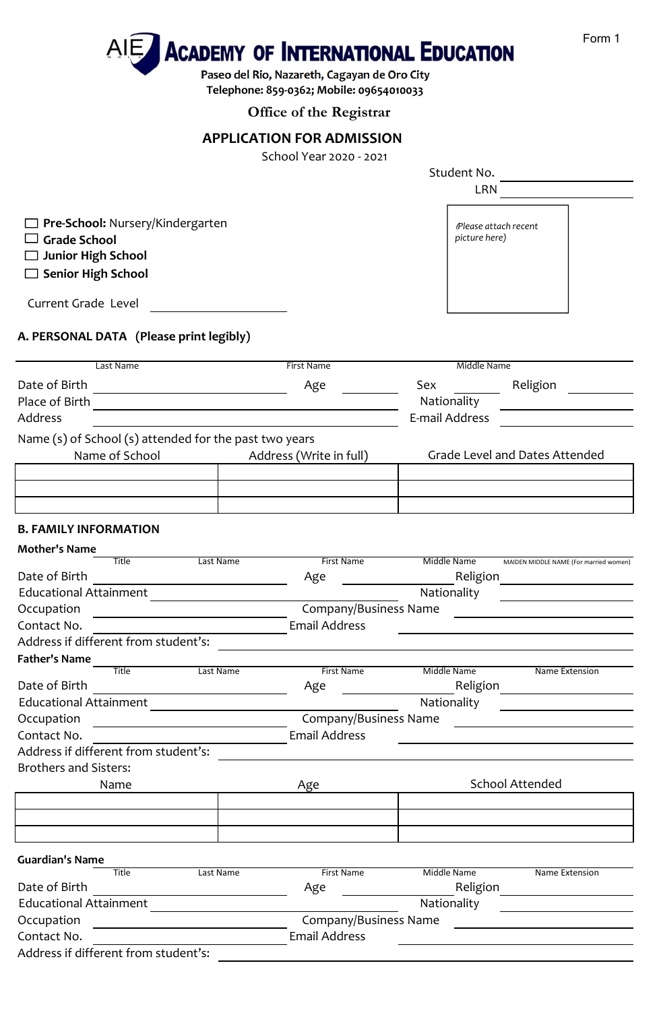

**Telephone: 859-0362; Mobile: 09654010033**

# **Office of the Registrar**

# **APPLICATION FOR ADMISSION**

School Year 2020 - 2021

|                                                                                                                                    |           |                                       | Student No.    |                                                                                                                       |
|------------------------------------------------------------------------------------------------------------------------------------|-----------|---------------------------------------|----------------|-----------------------------------------------------------------------------------------------------------------------|
|                                                                                                                                    |           | <b>LRN</b>                            |                |                                                                                                                       |
| <b>Pre-School: Nursery/Kindergarten</b><br><b>Grade School</b>                                                                     |           | Please attach recent<br>picture here) |                |                                                                                                                       |
| Junior High School                                                                                                                 |           |                                       |                |                                                                                                                       |
| $\Box$ Senior High School                                                                                                          |           |                                       |                |                                                                                                                       |
| Current Grade Level                                                                                                                |           |                                       |                |                                                                                                                       |
| A. PERSONAL DATA (Please print legibly)                                                                                            |           |                                       |                |                                                                                                                       |
| Last Name                                                                                                                          |           | First Name                            | Middle Name    |                                                                                                                       |
| Date of Birth                                                                                                                      |           |                                       | Sex            | Religion                                                                                                              |
| Place of Birth                                                                                                                     |           | Age                                   | Nationality    |                                                                                                                       |
| Address                                                                                                                            |           |                                       | E-mail Address | <u> 1989 - Jan Barat, prima prima prima prima prima prima prima prima prima prima prima prima prima prima prima p</u> |
|                                                                                                                                    |           |                                       |                |                                                                                                                       |
| Name (s) of School (s) attended for the past two years                                                                             |           |                                       |                |                                                                                                                       |
| Name of School                                                                                                                     |           | Address (Write in full)               |                | Grade Level and Dates Attended                                                                                        |
|                                                                                                                                    |           |                                       |                |                                                                                                                       |
|                                                                                                                                    |           |                                       |                |                                                                                                                       |
|                                                                                                                                    |           |                                       |                |                                                                                                                       |
| <b>B. FAMILY INFORMATION</b>                                                                                                       |           |                                       |                |                                                                                                                       |
| <b>Mother's Name</b>                                                                                                               |           |                                       |                |                                                                                                                       |
| <b>Title</b>                                                                                                                       | Last Name | <b>First Name</b>                     | Middle Name    | MAIDEN MIDDLE NAME (For married women)                                                                                |
| Date of Birth                                                                                                                      |           | Age                                   | Religion       |                                                                                                                       |
| <b>Educational Attainment</b>                                                                                                      |           |                                       | Nationality    |                                                                                                                       |
| Occupation<br><u> 1989 - Andrea Andrew Maria (b. 1989)</u>                                                                         |           | Company/Business Name                 |                |                                                                                                                       |
| Contact No.                                                                                                                        |           | <b>Email Address</b>                  |                |                                                                                                                       |
| Address if different from student's:                                                                                               |           |                                       |                |                                                                                                                       |
| <b>Father's Name</b>                                                                                                               |           |                                       |                |                                                                                                                       |
| <b>Title</b>                                                                                                                       | Last Name | <b>First Name</b>                     | Middle Name    | Name Extension                                                                                                        |
| Date of Birth                                                                                                                      |           | Age                                   | Religion       | <u> 1980 - Johann Barbara, martin a</u>                                                                               |
| <b>Educational Attainment</b>                                                                                                      |           |                                       | Nationality    |                                                                                                                       |
| Occupation<br><u> 1989 - Jan Stein Stein Stein Stein Stein Stein Stein Stein Stein Stein Stein Stein Stein Stein Stein Stein S</u> |           | Company/Business Name                 |                |                                                                                                                       |
| Contact No.                                                                                                                        |           | <b>Email Address</b>                  |                |                                                                                                                       |
| Address if different from student's:                                                                                               |           |                                       |                |                                                                                                                       |
| <b>Brothers and Sisters:</b>                                                                                                       |           |                                       |                |                                                                                                                       |
| Name                                                                                                                               |           | Age                                   |                | <b>School Attended</b>                                                                                                |
|                                                                                                                                    |           |                                       |                |                                                                                                                       |
|                                                                                                                                    |           |                                       |                |                                                                                                                       |
|                                                                                                                                    |           |                                       |                |                                                                                                                       |
| <b>Guardian's Name</b>                                                                                                             |           |                                       |                |                                                                                                                       |
| Title                                                                                                                              | Last Name | <b>First Name</b>                     | Middle Name    | Name Extension                                                                                                        |
| Date of Birth                                                                                                                      |           | Age                                   | Religion       |                                                                                                                       |
| <b>Educational Attainment</b>                                                                                                      |           |                                       | Nationality    |                                                                                                                       |
| Occupation                                                                                                                         |           | Company/Business Name                 |                |                                                                                                                       |
| Contact No.                                                                                                                        |           | <b>Email Address</b>                  |                |                                                                                                                       |
| ddrocc if difforant from ctudontle:                                                                                                |           |                                       |                |                                                                                                                       |

Address if different from student's: